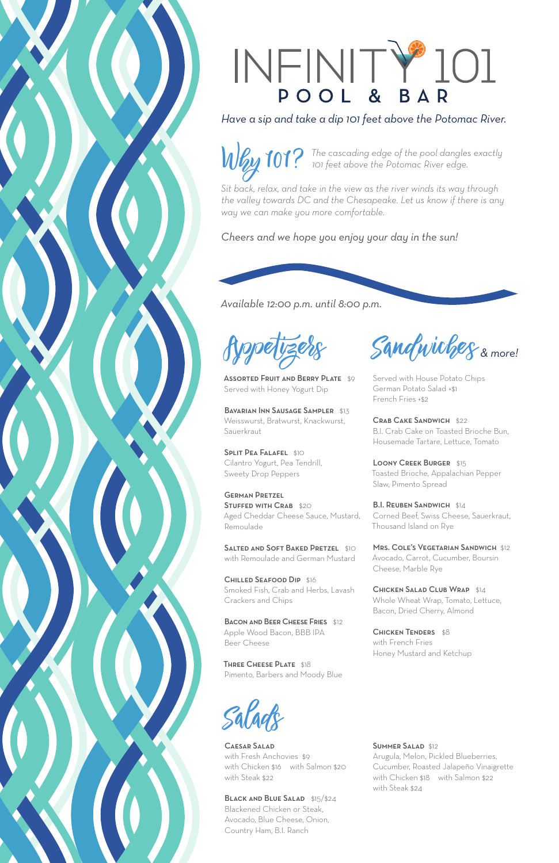## INFINITY 101

*Have a sip and take a dip 101 feet above the Potomac River.*

**The cascading edge of the pool dangles exactly** *Why* 101? To feet above the Potomac River edge.

ASSORTED FRUIT AND BERRY PLATE \$9 Served with Honey Yogurt Dip

BAVARIAN INN SAUSAGE SAMPLER \$13 Weisswurst, Bratwurst, Knackwurst, **Sauerkraut** 

*Sit back, relax, and take in the view as the river winds its way through the valley towards DC and the Chesapeake. Let us know if there is any way we can make you more comfortable.*

**SPLIT PEA FALAFEL \$10** Cilantro Yogurt, Pea Tendrill, Sweety Drop Peppers

*Cheers and we hope you enjoy your day in the sun!*

SALTED AND SOFT BAKED PRETZEL \$10 with Remoulade and German Mustard

*Available 12:00 p.m. until 8:00 p.m.*

BACON AND BEER CHEESE FRIES \$12 Apple Wood Bacon, BBB IPA Beer Cheese

 $S$ andwiches & more!

THREE CHEESE PLATE \$18 Pimento, Barbers and Moody Blue LOONY CREEK BURGER \$15 Toasted Brioche, Appalachian Pepper Slaw, Pimento Spread

B.I. REUBEN SANDWICH \$14 Corned Beef, Swiss Cheese, Sauerkraut, Thousand Island on Rye

German Pretzel STUFFED WITH CRAB \$20 Aged Cheddar Cheese Sauce, Mustard, Remoulade

> CHICKEN SALAD CLUB WRAP \$14 Whole Wheat Wrap, Tomato, Lettuce, Bacon, Dried Cherry, Almond

CHICKEN TENDERS \$8



Chilled Seafood Dip \$16 Smoked Fish, Crab and Herbs, Lavash Crackers and Chips

BLACK AND BLUE SALAD \$15/\$24 Blackened Chicken or Steak,

Served with House Potato Chips German Potato Salad +\$1 French Fries +\$2

Crab Cake Sandwich \$22 B.I. Crab Cake on Toasted Brioche Bun, Housemade Tartare, Lettuce, Tomato

Mrs. Cole's Vegetarian Sandwich \$12 Avocado, Carrot, Cucumber, Boursin Cheese, Marble Rye

with French Fries Honey Mustard and Ketchup

## SUMMER SALAD \$12



Appetizers

## Caesar Salad

with Fresh Anchovies \$9 with Chicken \$16 with Salmon \$20 with Steak \$22

Avocado, Blue Cheese, Onion, Country Ham, B.I. Ranch

Arugula, Melon, Pickled Blueberries, Cucumber, Roasted Jalapeño Vinaigrette with Chicken \$18 with Salmon \$22 with Steak \$24